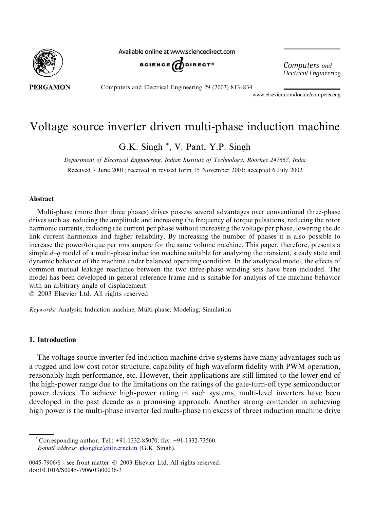

Available online at www.sciencedirect.com



Computers and **Electrical Engineering** 

**PERGAMON** 

Computers and Electrical Engineering 29 (2003) 813–834

www.elsevier.com/locate/compeleceng

## Voltage source inverter driven multi-phase induction machine

G.K. Singh \*, V. Pant, Y.P. Singh

Department of Electrical Engineering, Indian Institute of Technology, Roorkee 247667, India Received 7 June 2001; received in revised form 15 November 2001; accepted 6 July 2002

#### Abstract

Multi-phase (more than three phases) drives possess several advantages over conventional three-phase drives such as: reducing the amplitude and increasing the frequency of torque pulsations, reducing the rotor harmonic currents, reducing the current per phase without increasing the voltage per phase, lowering the dc link current harmonics and higher reliability. By increasing the number of phases it is also possible to increase the power/torque per rms ampere for the same volume machine. This paper, therefore, presents a simple  $d-q$  model of a multi-phase induction machine suitable for analyzing the transient, steady state and dynamic behavior of the machine under balanced operating condition. In the analytical model, the effects of common mutual leakage reactance between the two three-phase winding sets have been included. The model has been developed in general reference frame and is suitable for analysis of the machine behavior with an arbitrary angle of displacement.

2003 Elsevier Ltd. All rights reserved.

Keywords: Analysis; Induction machine; Multi-phase; Modeling; Simulation

#### 1. Introduction

The voltage source inverter fed induction machine drive systems have many advantages such as a rugged and low cost rotor structure, capability of high waveform fidelity with PWM operation, reasonably high performance, etc. However, their applications are still limited to the lower end of the high-power range due to the limitations on the ratings of the gate-turn-off type semiconductor power devices. To achieve high-power rating in such systems, multi-level inverters have been developed in the past decade as a promising approach. Another strong contender in achieving high power is the multi-phase inverter fed multi-phase (in excess of three) induction machine drive

\* Corresponding author. Tel.: +91-1332-85070; fax: +91-1332-73560. E-mail address: [gksngfee@iitr.ernet.in](mail to: gksngfee@iitr.ernet.in) (G.K. Singh).

<sup>0045-7906/\$ -</sup> see front matter  $\degree$  2003 Elsevier Ltd. All rights reserved. doi:10.1016/S0045-7906(03)00036-3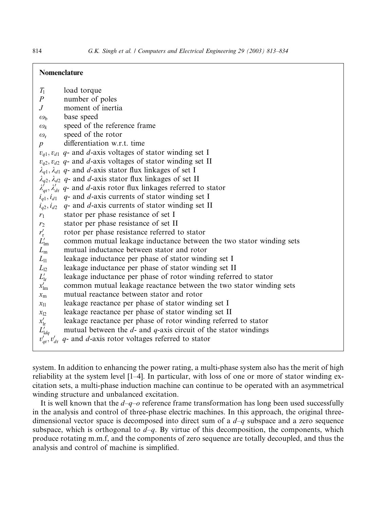### Nomenclature

| $T_1$            | load torque                                                                            |
|------------------|----------------------------------------------------------------------------------------|
| $\boldsymbol{P}$ | number of poles                                                                        |
| $J_{\cdot}$      | moment of inertia                                                                      |
| $\omega_{h}$     | base speed                                                                             |
| $\omega_k$       | speed of the reference frame                                                           |
| $\omega_{\rm r}$ | speed of the rotor                                                                     |
| $\boldsymbol{p}$ | differentiation w.r.t. time                                                            |
|                  | $v_{q1}$ , $v_{d1}$ q- and d-axis voltages of stator winding set I                     |
|                  | $v_{q2}$ , $v_{d2}$ q- and d-axis voltages of stator winding set II                    |
|                  | $\lambda_{q1}, \lambda_{d1}$ q- and d-axis stator flux linkages of set I               |
|                  | $\lambda_{q2}, \lambda_{d2}$ q- and d-axis stator flux linkages of set II              |
|                  | $\lambda'_{ar}$ , $\lambda'_{dr}$ q- and d-axis rotor flux linkages referred to stator |
|                  | $i_{q1}, i_{d1}$ q- and d-axis currents of stator winding set I                        |
|                  | $i_{q2}, i_{d2}$ q- and d-axis currents of stator winding set II                       |
| $r_1$            | stator per phase resistance of set I                                                   |
| $r_2$            | stator per phase resistance of set II                                                  |
| $r'_{\rm r}$     | rotor per phase resistance referred to stator                                          |
| $L'_{\text{lm}}$ | common mutual leakage inductance between the two stator winding sets                   |
| $L_{\rm m}$      | mutual inductance between stator and rotor                                             |
| $L_{11}$         | leakage inductance per phase of stator winding set I                                   |
| $L_{12}$         | leakage inductance per phase of stator winding set II                                  |
| $L'_{\text{lr}}$ | leakage inductance per phase of rotor winding referred to stator                       |
| $x'_{\text{lm}}$ | common mutual leakage reactance between the two stator winding sets                    |
| $x_{\rm m}$      | mutual reactance between stator and rotor                                              |
| $x_{11}$         | leakage reactance per phase of stator winding set I                                    |
| $x_{12}$         | leakage reactance per phase of stator winding set II                                   |
| $x'_{\rm lr}$    | leakage reactance per phase of rotor winding referred to stator                        |
| $L'_{1dq}$       | mutual between the $d$ - and $q$ -axis circuit of the stator windings                  |
|                  | $v'_{q}$ , $v'_{q}$ , $q$ - and d-axis rotor voltages referred to stator               |
|                  |                                                                                        |

system. In addition to enhancing the power rating, a multi-phase system also has the merit of high reliability at the system level [1–4]. In particular, with loss of one or more of stator winding excitation sets, a multi-phase induction machine can continue to be operated with an asymmetrical winding structure and unbalanced excitation.

It is well known that the  $d-q$ -o reference frame transformation has long been used successfully in the analysis and control of three-phase electric machines. In this approach, the original threedimensional vector space is decomposed into direct sum of a  $d-q$  subspace and a zero sequence subspace, which is orthogonal to  $d-q$ . By virtue of this decomposition, the components, which produce rotating m.m.f, and the components of zero sequence are totally decoupled, and thus the analysis and control of machine is simplified.